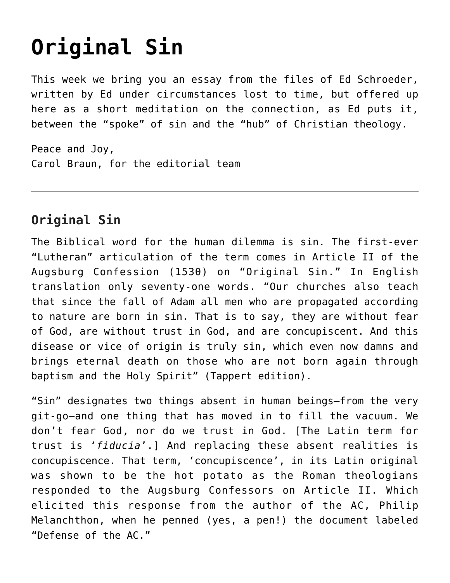## **[Original Sin](https://crossings.org/original-sin/)**

This week we bring you an essay from the files of Ed Schroeder, written by Ed under circumstances lost to time, but offered up here as a short meditation on the connection, as Ed puts it, between the "spoke" of sin and the "hub" of Christian theology.

Peace and Joy, Carol Braun, for the editorial team

## **Original Sin**

The Biblical word for the human dilemma is sin. The first-ever "Lutheran" articulation of the term comes in Article II of the Augsburg Confession (1530) on "Original Sin." In English translation only seventy-one words. "Our churches also teach that since the fall of Adam all men who are propagated according to nature are born in sin. That is to say, they are without fear of God, are without trust in God, and are concupiscent. And this disease or vice of origin is truly sin, which even now damns and brings eternal death on those who are not born again through baptism and the Holy Spirit" (Tappert edition).

"Sin" designates two things absent in human beings—from the very git-go—and one thing that has moved in to fill the vacuum. We don't fear God, nor do we trust in God. [The Latin term for trust is '*fiducia*'.] And replacing these absent realities is concupiscence. That term, 'concupiscence', in its Latin original was shown to be the hot potato as the Roman theologians responded to the Augsburg Confessors on Article II. Which elicited this response from the author of the AC, Philip Melanchthon, when he penned (yes, a pen!) the document labeled "Defense of the AC."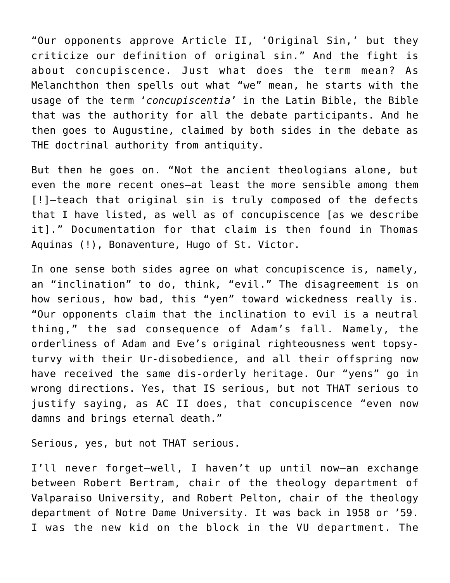"Our opponents approve Article II, 'Original Sin,' but they criticize our definition of original sin." And the fight is about concupiscence. Just what does the term mean? As Melanchthon then spells out what "we" mean, he starts with the usage of the term '*concupiscentia*' in the Latin Bible, the Bible that was the authority for all the debate participants. And he then goes to Augustine, claimed by both sides in the debate as THE doctrinal authority from antiquity.

But then he goes on. "Not the ancient theologians alone, but even the more recent ones—at least the more sensible among them [!]—teach that original sin is truly composed of the defects that I have listed, as well as of concupiscence [as we describe it]." Documentation for that claim is then found in Thomas Aquinas (!), Bonaventure, Hugo of St. Victor.

In one sense both sides agree on what concupiscence is, namely, an "inclination" to do, think, "evil." The disagreement is on how serious, how bad, this "yen" toward wickedness really is. "Our opponents claim that the inclination to evil is a neutral thing," the sad consequence of Adam's fall. Namely, the orderliness of Adam and Eve's original righteousness went topsyturvy with their Ur-disobedience, and all their offspring now have received the same dis-orderly heritage. Our "yens" go in wrong directions. Yes, that IS serious, but not THAT serious to justify saying, as AC II does, that concupiscence "even now damns and brings eternal death."

Serious, yes, but not THAT serious.

I'll never forget—well, I haven't up until now—an exchange between Robert Bertram, chair of the theology department of Valparaiso University, and Robert Pelton, chair of the theology department of Notre Dame University. It was back in 1958 or '59. I was the new kid on the block in the VU department. The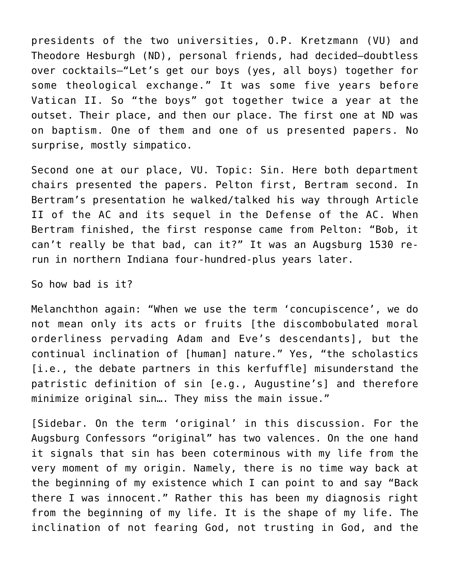presidents of the two universities, O.P. Kretzmann (VU) and Theodore Hesburgh (ND), personal friends, had decided—doubtless over cocktails—"Let's get our boys (yes, all boys) together for some theological exchange." It was some five years before Vatican II. So "the boys" got together twice a year at the outset. Their place, and then our place. The first one at ND was on baptism. One of them and one of us presented papers. No surprise, mostly simpatico.

Second one at our place, VU. Topic: Sin. Here both department chairs presented the papers. Pelton first, Bertram second. In Bertram's presentation he walked/talked his way through Article II of the AC and its sequel in the Defense of the AC. When Bertram finished, the first response came from Pelton: "Bob, it can't really be that bad, can it?" It was an Augsburg 1530 rerun in northern Indiana four-hundred-plus years later.

So how bad is it?

Melanchthon again: "When we use the term 'concupiscence', we do not mean only its acts or fruits [the discombobulated moral orderliness pervading Adam and Eve's descendants], but the continual inclination of [human] nature." Yes, "the scholastics [i.e., the debate partners in this kerfuffle] misunderstand the patristic definition of sin [e.g., Augustine's] and therefore minimize original sin…. They miss the main issue."

[Sidebar. On the term 'original' in this discussion. For the Augsburg Confessors "original" has two valences. On the one hand it signals that sin has been coterminous with my life from the very moment of my origin. Namely, there is no time way back at the beginning of my existence which I can point to and say "Back there I was innocent." Rather this has been my diagnosis right from the beginning of my life. It is the shape of my life. The inclination of not fearing God, not trusting in God, and the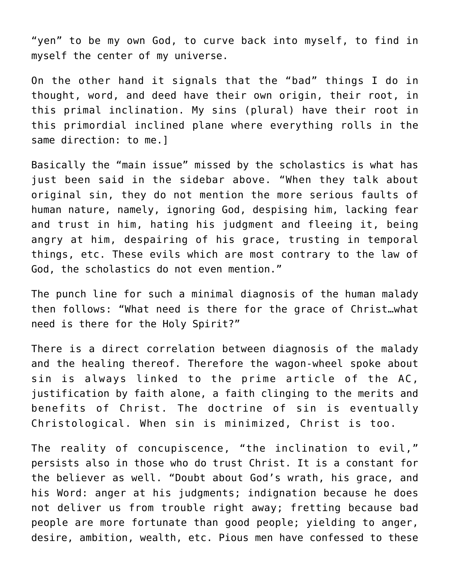"yen" to be my own God, to curve back into myself, to find in myself the center of my universe.

On the other hand it signals that the "bad" things I do in thought, word, and deed have their own origin, their root, in this primal inclination. My sins (plural) have their root in this primordial inclined plane where everything rolls in the same direction: to me.]

Basically the "main issue" missed by the scholastics is what has just been said in the sidebar above. "When they talk about original sin, they do not mention the more serious faults of human nature, namely, ignoring God, despising him, lacking fear and trust in him, hating his judgment and fleeing it, being angry at him, despairing of his grace, trusting in temporal things, etc. These evils which are most contrary to the law of God, the scholastics do not even mention."

The punch line for such a minimal diagnosis of the human malady then follows: "What need is there for the grace of Christ…what need is there for the Holy Spirit?"

There is a direct correlation between diagnosis of the malady and the healing thereof. Therefore the wagon-wheel spoke about sin is always linked to the prime article of the AC, justification by faith alone, a faith clinging to the merits and benefits of Christ. The doctrine of sin is eventually Christological. When sin is minimized, Christ is too.

The reality of concupiscence, "the inclination to evil," persists also in those who do trust Christ. It is a constant for the believer as well. "Doubt about God's wrath, his grace, and his Word: anger at his judgments; indignation because he does not deliver us from trouble right away; fretting because bad people are more fortunate than good people; yielding to anger, desire, ambition, wealth, etc. Pious men have confessed to these